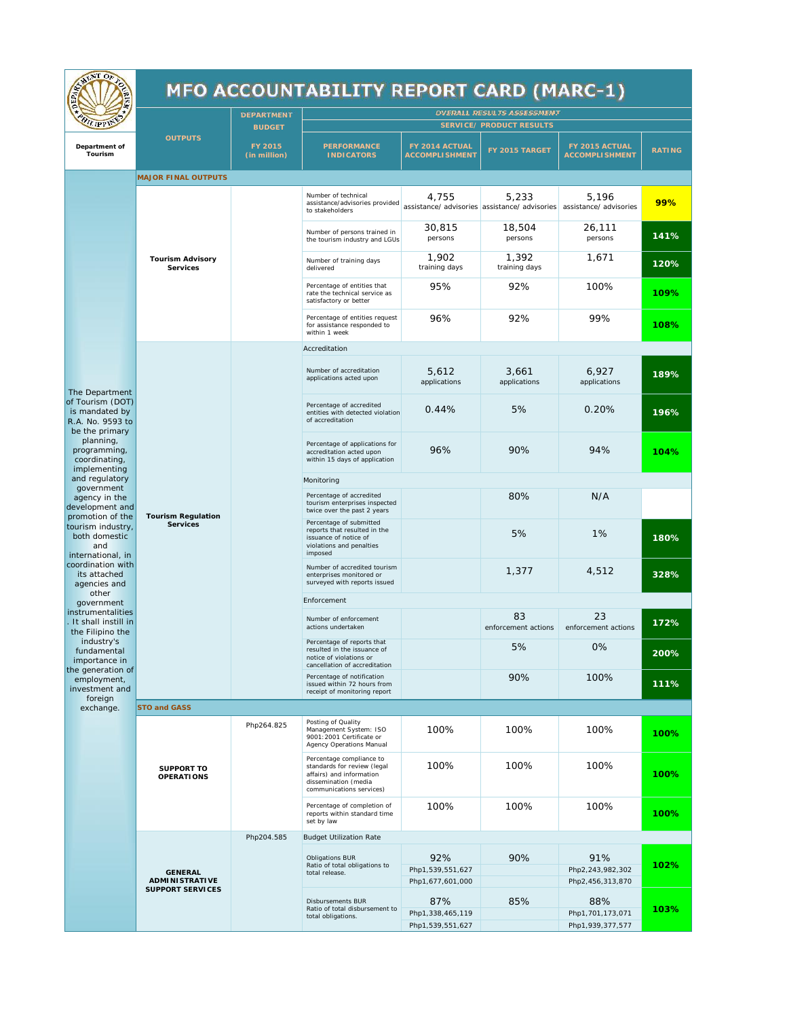| MENT OF                                                                                                                                                                                                                                                                                                                                                                                                                                                                                                                                                                      |                                    |                                          | <b>MFO ACCOUNTABILITY REPORT CARD (MARC-1)</b>                                                                                          |                                             |                                            |                                                                               |               |
|------------------------------------------------------------------------------------------------------------------------------------------------------------------------------------------------------------------------------------------------------------------------------------------------------------------------------------------------------------------------------------------------------------------------------------------------------------------------------------------------------------------------------------------------------------------------------|------------------------------------|------------------------------------------|-----------------------------------------------------------------------------------------------------------------------------------------|---------------------------------------------|--------------------------------------------|-------------------------------------------------------------------------------|---------------|
| <b>HILIPPIN</b>                                                                                                                                                                                                                                                                                                                                                                                                                                                                                                                                                              |                                    | <b>DEPARTMENT</b>                        | <b>OVERALL RESULTS ASSESSMENT</b>                                                                                                       |                                             |                                            |                                                                               |               |
| Department of<br>Tourism                                                                                                                                                                                                                                                                                                                                                                                                                                                                                                                                                     | <b>OUTPUTS</b>                     | <b>BUDGET</b><br>FY 2015<br>(in million) | PERFORMANCE<br><b>INDICATORS</b>                                                                                                        | FY 2014 ACTUAL<br><b>ACCOMPLI SHMENT</b>    | SERVICE/ PRODUCT RESULTS<br>FY 2015 TARGET | FY 2015 ACTUAL<br><b>ACCOMPLI SHMENT</b>                                      | <b>RATING</b> |
|                                                                                                                                                                                                                                                                                                                                                                                                                                                                                                                                                                              | MAJOR FINAL OUTPUTS                |                                          |                                                                                                                                         |                                             |                                            |                                                                               |               |
| The Department<br>of Tourism (DOT)<br>is mandated by<br>R.A. No. 9593 to<br>be the primary<br>planning,<br>programming,<br>coordinating,<br>implementing<br>and regulatory<br>government<br>agency in the<br>development and<br>promotion of the<br>tourism industry<br>both domestic<br>and<br>international, in<br>coordination with<br>its attached<br>agencies and<br>other<br>government<br>instrumentalities<br>It shall instill in<br>the Filipino the<br>industry's<br>fundamental<br>importance in<br>the generation of<br>employment,<br>investment and<br>foreign | Tourism Advisory<br>Services       |                                          | Number of technical<br>assistance/advisories provided<br>to stakeholders                                                                | 4,755                                       | 5,233                                      | 5,196<br>assistance/ advisories assistance/ advisories assistance/ advisories | 99%           |
|                                                                                                                                                                                                                                                                                                                                                                                                                                                                                                                                                                              |                                    |                                          | Number of persons trained in<br>the tourism industry and LGUs                                                                           | 30,815<br>persons                           | 18,504<br>persons                          | 26,111<br>persons                                                             | 141%          |
|                                                                                                                                                                                                                                                                                                                                                                                                                                                                                                                                                                              |                                    |                                          | Number of training days<br>delivered                                                                                                    | 1,902<br>training days                      | 1,392<br>training days                     | 1,671                                                                         | 120%          |
|                                                                                                                                                                                                                                                                                                                                                                                                                                                                                                                                                                              |                                    |                                          | Percentage of entities that<br>rate the technical service as<br>satisfactory or better                                                  | 95%                                         | 92%                                        | 100%                                                                          | 109%          |
|                                                                                                                                                                                                                                                                                                                                                                                                                                                                                                                                                                              |                                    |                                          | Percentage of entities request<br>for assistance responded to<br>within 1 week                                                          | 96%                                         | 92%                                        | 99%                                                                           | 108%          |
|                                                                                                                                                                                                                                                                                                                                                                                                                                                                                                                                                                              |                                    |                                          | Accreditation                                                                                                                           |                                             |                                            |                                                                               |               |
|                                                                                                                                                                                                                                                                                                                                                                                                                                                                                                                                                                              | Tourism Regulation<br>Services     |                                          | Number of accreditation<br>applications acted upon                                                                                      | 5,612<br>applications                       | 3,661<br>applications                      | 6,927<br>applications                                                         | 189%          |
|                                                                                                                                                                                                                                                                                                                                                                                                                                                                                                                                                                              |                                    |                                          | Percentage of accredited<br>entities with detected violation<br>of accreditation                                                        | 0.44%                                       | 5%                                         | 0.20%                                                                         | 196%          |
|                                                                                                                                                                                                                                                                                                                                                                                                                                                                                                                                                                              |                                    |                                          | Percentage of applications for<br>accreditation acted upon<br>within 15 days of application                                             | 96%                                         | 90%                                        | 94%                                                                           | 104%          |
|                                                                                                                                                                                                                                                                                                                                                                                                                                                                                                                                                                              |                                    |                                          | Monitoring                                                                                                                              |                                             |                                            |                                                                               |               |
|                                                                                                                                                                                                                                                                                                                                                                                                                                                                                                                                                                              |                                    |                                          | Percentage of accredited<br>tourism enterprises inspected<br>twice over the past 2 years                                                |                                             | 80%                                        | N/A                                                                           |               |
|                                                                                                                                                                                                                                                                                                                                                                                                                                                                                                                                                                              |                                    |                                          | Percentage of submitted<br>reports that resulted in the<br>issuance of notice of<br>violations and penalties<br>imposed                 |                                             | 5%                                         | 1%                                                                            | 180%          |
|                                                                                                                                                                                                                                                                                                                                                                                                                                                                                                                                                                              |                                    |                                          | Number of accredited tourism<br>enterprises monitored or<br>surveyed with reports issued                                                |                                             | 1,377                                      | 4,512                                                                         | 328%          |
|                                                                                                                                                                                                                                                                                                                                                                                                                                                                                                                                                                              |                                    |                                          | Enforcement                                                                                                                             |                                             |                                            |                                                                               |               |
|                                                                                                                                                                                                                                                                                                                                                                                                                                                                                                                                                                              |                                    |                                          | Number of enforcement<br>actions undertaken                                                                                             |                                             | 83<br>enforcement actions                  | 23<br>enforcement actions                                                     | 172%          |
|                                                                                                                                                                                                                                                                                                                                                                                                                                                                                                                                                                              |                                    |                                          | Percentage of reports that<br>resulted in the issuance of<br>notice of violations or<br>cancellation of accreditation                   |                                             | 5%                                         | $0\%$                                                                         | 200%          |
|                                                                                                                                                                                                                                                                                                                                                                                                                                                                                                                                                                              |                                    |                                          | Percentage of notification<br>issued within 72 hours from<br>receipt of monitoring report                                               |                                             | 90%                                        | 100%                                                                          | 111%          |
| exchange.                                                                                                                                                                                                                                                                                                                                                                                                                                                                                                                                                                    | STO and GASS                       |                                          |                                                                                                                                         |                                             |                                            |                                                                               |               |
|                                                                                                                                                                                                                                                                                                                                                                                                                                                                                                                                                                              | SUPPORT TO<br>OPERATIONS           | Php264.825                               | Posting of Quality<br>Management System: ISO<br>9001:2001 Certificate or<br>Agency Operations Manual                                    | 100%                                        | 100%                                       | 100%                                                                          | 100%          |
|                                                                                                                                                                                                                                                                                                                                                                                                                                                                                                                                                                              |                                    |                                          | Percentage compliance to<br>standards for review (legal<br>affairs) and information<br>dissemination (media<br>communications services) | 100%                                        | 100%                                       | 100%                                                                          | 100%          |
|                                                                                                                                                                                                                                                                                                                                                                                                                                                                                                                                                                              |                                    |                                          | Percentage of completion of<br>reports within standard time<br>set by law                                                               | 100%                                        | 100%                                       | 100%                                                                          | 100%          |
|                                                                                                                                                                                                                                                                                                                                                                                                                                                                                                                                                                              |                                    | Php204.585                               | <b>Budget Utilization Rate</b>                                                                                                          |                                             |                                            |                                                                               |               |
|                                                                                                                                                                                                                                                                                                                                                                                                                                                                                                                                                                              | GENERAL                            |                                          | Obligations BUR<br>Ratio of total obligations to<br>total release.                                                                      | 92%<br>Php1,539,551,627                     | 90%                                        | 91%<br>Php2, 243, 982, 302                                                    | 102%          |
|                                                                                                                                                                                                                                                                                                                                                                                                                                                                                                                                                                              | ADMINISTRATIVE<br>SUPPORT SERVICES |                                          | Disbursements BUR<br>Ratio of total disbursement to<br>total obligations.                                                               | Php1,677,601,000<br>87%<br>Php1,338,465,119 | 85%                                        | Php2, 456, 313, 870<br>88%<br>Php1,701,173,071                                | 103%          |
|                                                                                                                                                                                                                                                                                                                                                                                                                                                                                                                                                                              |                                    |                                          |                                                                                                                                         | Php1,539,551,627                            |                                            | Php1,939,377,577                                                              |               |